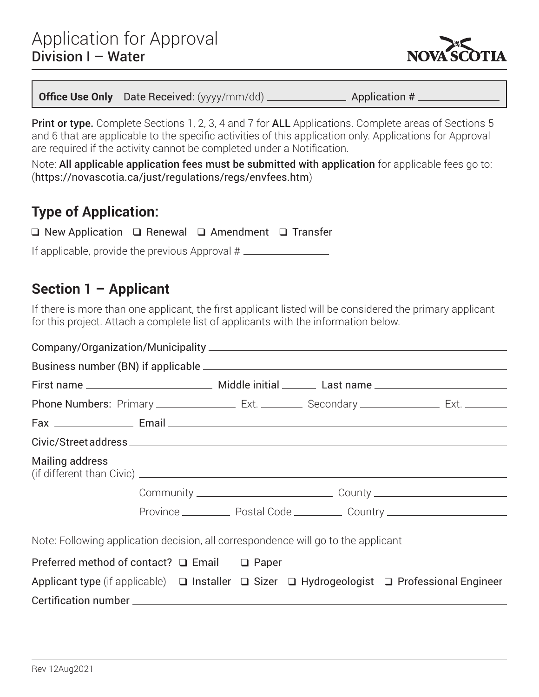

**Application #** 

Print or type. Complete Sections 1, 2, 3, 4 and 7 for ALL Applications. Complete areas of Sections 5 and 6 that are applicable to the specific activities of this application only. Applications for Approval are required if the activity cannot be completed under a Notification.

Note: All applicable application fees must be submitted with application for applicable fees go to: (<https://novascotia.ca/just/regulations/regs/envfees.htm>)

### **Type of Application:**

| $\Box$ New Application $\Box$ Renewal $\Box$ Amendment $\Box$ Transfer |  |  |  |
|------------------------------------------------------------------------|--|--|--|
|------------------------------------------------------------------------|--|--|--|

If applicable, provide the previous Approval #

#### **Section 1 – Applicant**

If there is more than one applicant, the first applicant listed will be considered the primary applicant for this project. Attach a complete list of applicants with the information below.

| <b>Mailing address</b>                                                            |  |                                                                                                                 |
|-----------------------------------------------------------------------------------|--|-----------------------------------------------------------------------------------------------------------------|
|                                                                                   |  | Community ___________________________________County ____________________________                                |
|                                                                                   |  | Province ______________ Postal Code _____________ Country ______________________                                |
| Note: Following application decision, all correspondence will go to the applicant |  |                                                                                                                 |
| Preferred method of contact? $\Box$ Email $\Box$ Paper                            |  |                                                                                                                 |
|                                                                                   |  | Applicant type (if applicable) $\Box$ Installer $\Box$ Sizer $\Box$ Hydrogeologist $\Box$ Professional Engineer |
|                                                                                   |  |                                                                                                                 |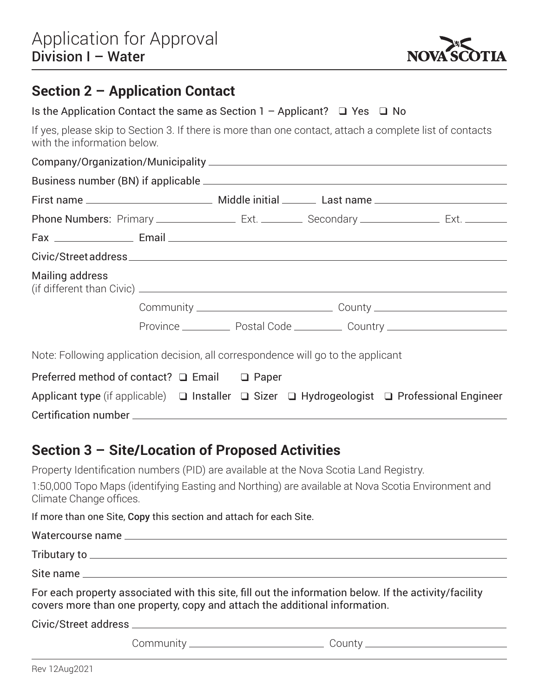

#### **Section 2 – Application Contact**

| Is the Application Contact the same as Section 1 - Applicant? $\Box$ Yes $\Box$ No                                                                                                                                                                            |  |                                                                                                                 |
|---------------------------------------------------------------------------------------------------------------------------------------------------------------------------------------------------------------------------------------------------------------|--|-----------------------------------------------------------------------------------------------------------------|
| with the information below.                                                                                                                                                                                                                                   |  | If yes, please skip to Section 3. If there is more than one contact, attach a complete list of contacts         |
|                                                                                                                                                                                                                                                               |  |                                                                                                                 |
|                                                                                                                                                                                                                                                               |  |                                                                                                                 |
|                                                                                                                                                                                                                                                               |  |                                                                                                                 |
|                                                                                                                                                                                                                                                               |  |                                                                                                                 |
|                                                                                                                                                                                                                                                               |  |                                                                                                                 |
|                                                                                                                                                                                                                                                               |  |                                                                                                                 |
| <b>Mailing address</b><br>(if different than Civic) <u>contained</u> a series of the contact of the contact of the contact of the contact of the contact of the contact of the contact of the contact of the contact of the contact of the contact of the con |  |                                                                                                                 |
|                                                                                                                                                                                                                                                               |  |                                                                                                                 |
|                                                                                                                                                                                                                                                               |  | Province ______________ Postal Code _____________ Country ______________________                                |
| Note: Following application decision, all correspondence will go to the applicant                                                                                                                                                                             |  |                                                                                                                 |
| Preferred method of contact? □ Email □ Paper                                                                                                                                                                                                                  |  |                                                                                                                 |
|                                                                                                                                                                                                                                                               |  | Applicant type (if applicable) $\Box$ Installer $\Box$ Sizer $\Box$ Hydrogeologist $\Box$ Professional Engineer |
|                                                                                                                                                                                                                                                               |  |                                                                                                                 |

#### **Section 3 – Site/Location of Proposed Activities**

Property Identification numbers (PID) are available at the Nova Scotia Land Registry.

1:50,000 Topo Maps (identifying Easting and Northing) are available at Nova Scotia Environment and Climate Change offices.

If more than one Site, Copy this section and attach for each Site.

| covers more than one property, copy and attach the additional information. | For each property associated with this site, fill out the information below. If the activity/facility |
|----------------------------------------------------------------------------|-------------------------------------------------------------------------------------------------------|
|                                                                            |                                                                                                       |
|                                                                            | Community ___________________________________County ____________________________                      |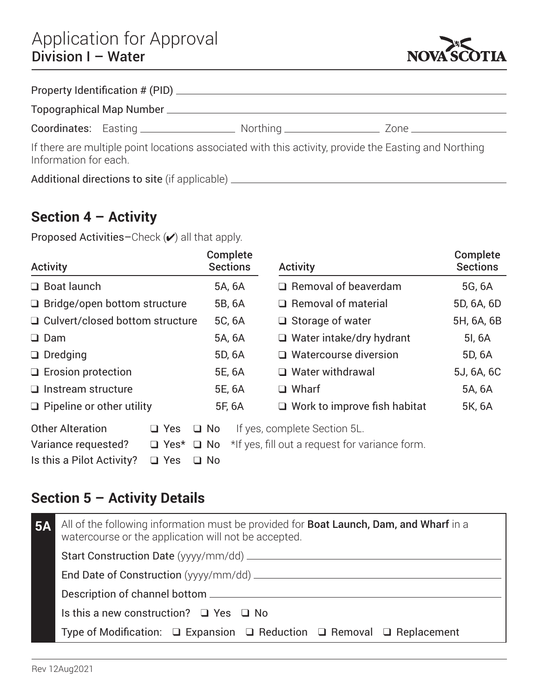

|                       | Property Identification # (PID) ________               |                                                                                                       |                    |
|-----------------------|--------------------------------------------------------|-------------------------------------------------------------------------------------------------------|--------------------|
|                       |                                                        |                                                                                                       |                    |
|                       |                                                        |                                                                                                       | Zone _____________ |
| Information for each. |                                                        | If there are multiple point locations associated with this activity, provide the Easting and Northing |                    |
|                       | Additional directions to site (if applicable) ________ |                                                                                                       |                    |

### **Section 4 – Activity**

Proposed Activities-Check  $(v)$  all that apply.

| <b>Activity</b>                        |                       | Complete<br><b>Sections</b> | <b>Activity</b>                                | Complete<br><b>Sections</b> |
|----------------------------------------|-----------------------|-----------------------------|------------------------------------------------|-----------------------------|
| $\Box$ Boat launch                     |                       | 5A, 6A                      | $\Box$ Removal of beaverdam                    | 5G, 6A                      |
| $\Box$ Bridge/open bottom structure    |                       | 5B, 6A                      | $\Box$ Removal of material                     | 5D, 6A, 6D                  |
| $\Box$ Culvert/closed bottom structure |                       | 5C, 6A                      | $\Box$ Storage of water                        | 5H, 6A, 6B                  |
| $\Box$ Dam                             |                       | 5A, 6A                      | $\Box$ Water intake/dry hydrant                | 51, 6A                      |
| $\Box$ Dredging                        |                       | 5D, 6A                      | $\Box$ Watercourse diversion                   | 5D, 6A                      |
| $\Box$ Erosion protection              |                       | 5E, 6A                      | $\Box$ Water withdrawal                        | 5J, 6A, 6C                  |
| $\Box$ Instream structure              |                       | 5E, 6A                      | $\Box$ Wharf                                   | 5A, 6A                      |
| $\Box$ Pipeline or other utility       |                       | 5F, 6A                      | $\Box$ Work to improve fish habitat            | 5K, 6A                      |
| <b>Other Alteration</b>                | $\Box$ Yes            | $\Box$ No                   | If yes, complete Section 5L.                   |                             |
| Variance requested?                    | $\Box$ Yes* $\Box$ No |                             | *If yes, fill out a request for variance form. |                             |
| Is this a Pilot Activity?              | $\Box$ Yes            | $\Box$ No                   |                                                |                             |

### **Section 5 – Activity Details**

| <b>5A</b> | All of the following information must be provided for <b>Boat Launch, Dam, and Wharf</b> in a<br>watercourse or the application will not be accepted. |
|-----------|-------------------------------------------------------------------------------------------------------------------------------------------------------|
|           |                                                                                                                                                       |
|           | End Date of Construction (yyyy/mm/dd) ________                                                                                                        |
|           |                                                                                                                                                       |
|           | Is this a new construction? $\Box$ Yes $\Box$ No                                                                                                      |
|           | Type of Modification: $\Box$ Expansion $\Box$ Reduction $\Box$ Removal $\Box$ Replacement                                                             |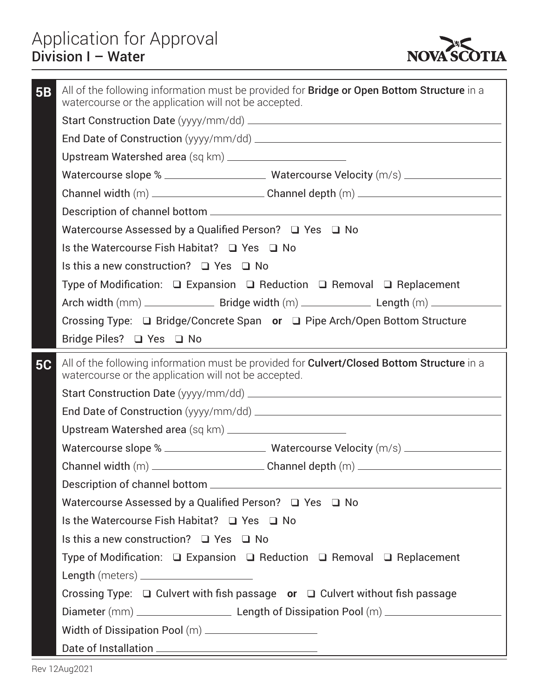

| <b>5B</b> | All of the following information must be provided for <b>Bridge or Open Bottom Structure</b> in a<br>watercourse or the application will not be accepted. |
|-----------|-----------------------------------------------------------------------------------------------------------------------------------------------------------|
|           |                                                                                                                                                           |
|           |                                                                                                                                                           |
|           |                                                                                                                                                           |
|           | Watercourse slope % __________________________Watercourse Velocity (m/s) __________________________                                                       |
|           | Channel width (m) ______________________________Channel depth (m) __________________________________                                                      |
|           |                                                                                                                                                           |
|           | Watercourse Assessed by a Qualified Person? □ Yes □ No                                                                                                    |
|           | Is the Watercourse Fish Habitat? □ Yes □ No                                                                                                               |
|           | Is this a new construction? $\Box$ Yes $\Box$ No                                                                                                          |
|           | Type of Modification: $\Box$ Expansion $\Box$ Reduction $\Box$ Removal $\Box$ Replacement                                                                 |
|           |                                                                                                                                                           |
|           | Crossing Type: □ Bridge/Concrete Span or □ Pipe Arch/Open Bottom Structure                                                                                |
|           | Bridge Piles? $\Box$ Yes $\Box$ No                                                                                                                        |
| <b>5C</b> | All of the following information must be provided for Culvert/Closed Bottom Structure in a                                                                |
|           | watercourse or the application will not be accepted.                                                                                                      |
|           |                                                                                                                                                           |
|           |                                                                                                                                                           |
|           |                                                                                                                                                           |
|           |                                                                                                                                                           |
|           |                                                                                                                                                           |
|           |                                                                                                                                                           |
|           | Watercourse Assessed by a Qualified Person? $\Box$ Yes $\Box$ No                                                                                          |
|           | Is the Watercourse Fish Habitat? □ Yes □ No                                                                                                               |
|           | Is this a new construction? $\Box$ Yes $\Box$ No                                                                                                          |
|           | Type of Modification: $\Box$ Expansion $\Box$ Reduction $\Box$ Removal $\Box$ Replacement                                                                 |
|           | Length (meters) _____________________                                                                                                                     |
|           | Crossing Type: $\Box$ Culvert with fish passage or $\Box$ Culvert without fish passage                                                                    |
|           |                                                                                                                                                           |
|           | Width of Dissipation Pool (m) _____________________                                                                                                       |
|           |                                                                                                                                                           |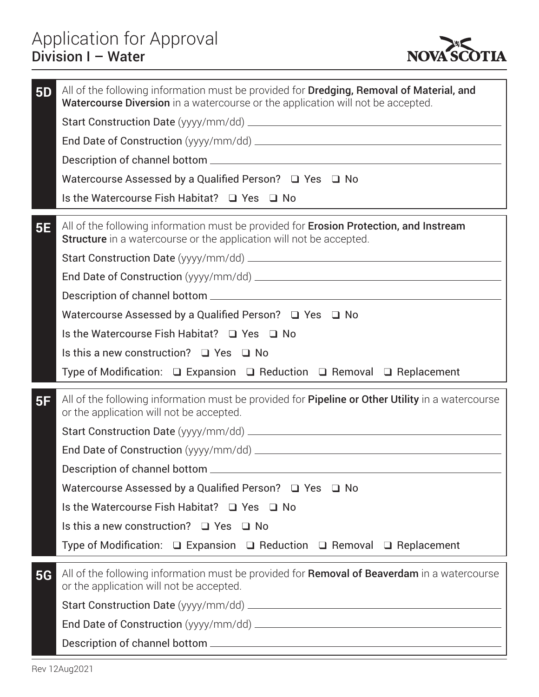

| <b>5D</b> | All of the following information must be provided for Dredging, Removal of Material, and<br><b>Watercourse Diversion</b> in a watercourse or the application will not be accepted. |
|-----------|------------------------------------------------------------------------------------------------------------------------------------------------------------------------------------|
|           |                                                                                                                                                                                    |
|           |                                                                                                                                                                                    |
|           |                                                                                                                                                                                    |
|           | Watercourse Assessed by a Qualified Person? □ Yes □ No                                                                                                                             |
|           | Is the Watercourse Fish Habitat? □ Yes □ No                                                                                                                                        |
| <b>5E</b> | All of the following information must be provided for Erosion Protection, and Instream<br><b>Structure</b> in a watercourse or the application will not be accepted.               |
|           |                                                                                                                                                                                    |
|           |                                                                                                                                                                                    |
|           |                                                                                                                                                                                    |
|           | Watercourse Assessed by a Qualified Person? □ Yes □ No                                                                                                                             |
|           | Is the Watercourse Fish Habitat? $\Box$ Yes $\Box$ No                                                                                                                              |
|           | Is this a new construction? $\Box$ Yes $\Box$ No                                                                                                                                   |
|           | Type of Modification: $\Box$ Expansion $\Box$ Reduction $\Box$ Removal $\Box$ Replacement                                                                                          |
| 5F        | All of the following information must be provided for <b>Pipeline or Other Utility</b> in a watercourse<br>or the application will not be accepted.                                |
|           |                                                                                                                                                                                    |
|           |                                                                                                                                                                                    |
|           |                                                                                                                                                                                    |
|           | Watercourse Assessed by a Qualified Person? $\Box$ Yes $\Box$ No                                                                                                                   |
|           | Is the Watercourse Fish Habitat? $\Box$ Yes $\Box$ No                                                                                                                              |
|           | Is this a new construction? $\Box$ Yes $\Box$ No                                                                                                                                   |
|           | Type of Modification: $\Box$ Expansion $\Box$ Reduction $\Box$ Removal $\Box$ Replacement                                                                                          |
| <b>5G</b> | All of the following information must be provided for <b>Removal of Beaverdam</b> in a watercourse<br>or the application will not be accepted.                                     |
|           |                                                                                                                                                                                    |
|           |                                                                                                                                                                                    |
|           |                                                                                                                                                                                    |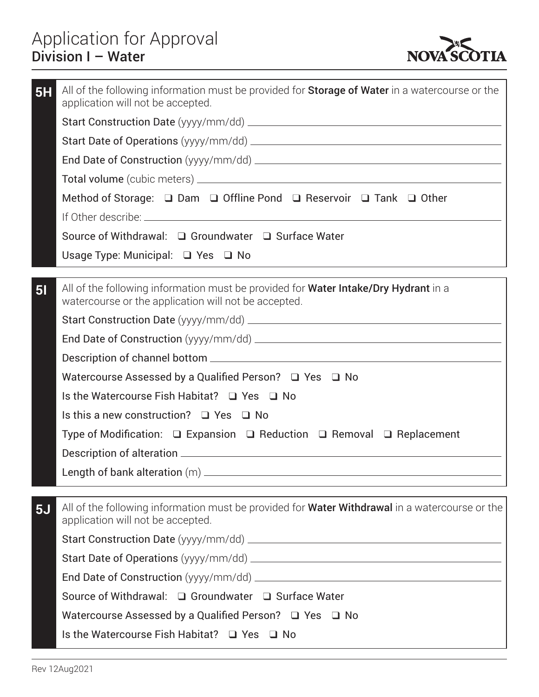

| 5H             | All of the following information must be provided for <b>Storage of Water</b> in a watercourse or the<br>application will not be accepted.         |
|----------------|----------------------------------------------------------------------------------------------------------------------------------------------------|
|                |                                                                                                                                                    |
|                |                                                                                                                                                    |
|                |                                                                                                                                                    |
|                |                                                                                                                                                    |
|                | Method of Storage: $\Box$ Dam $\Box$ Offline Pond $\Box$ Reservoir $\Box$ Tank $\Box$ Other                                                        |
|                |                                                                                                                                                    |
|                | Source of Withdrawal: □ Groundwater □ Surface Water                                                                                                |
|                | Usage Type: Municipal: $\Box$ Yes $\Box$ No                                                                                                        |
|                |                                                                                                                                                    |
| 5 <sub>l</sub> | All of the following information must be provided for <b>Water Intake/Dry Hydrant</b> in a<br>watercourse or the application will not be accepted. |
|                |                                                                                                                                                    |
|                |                                                                                                                                                    |
|                |                                                                                                                                                    |
|                | Watercourse Assessed by a Qualified Person? $\Box$ Yes $\Box$ No                                                                                   |
|                | Is the Watercourse Fish Habitat? $\Box$ Yes $\Box$ No                                                                                              |
|                | Is this a new construction? $\Box$ Yes $\Box$ No                                                                                                   |
|                | Type of Modification: $\Box$ Expansion $\Box$ Reduction $\Box$ Removal $\Box$ Replacement                                                          |
|                |                                                                                                                                                    |
|                |                                                                                                                                                    |
| 5J             | All of the following information must be provided for <b>Water Withdrawal</b> in a watercourse or the<br>application will not be accepted.         |
|                |                                                                                                                                                    |
|                |                                                                                                                                                    |
|                |                                                                                                                                                    |
|                | Source of Withdrawal: □ Groundwater □ Surface Water                                                                                                |
|                | Watercourse Assessed by a Qualified Person? $\Box$ Yes $\Box$ No                                                                                   |
|                | Is the Watercourse Fish Habitat? $\Box$ Yes $\Box$ No                                                                                              |
|                |                                                                                                                                                    |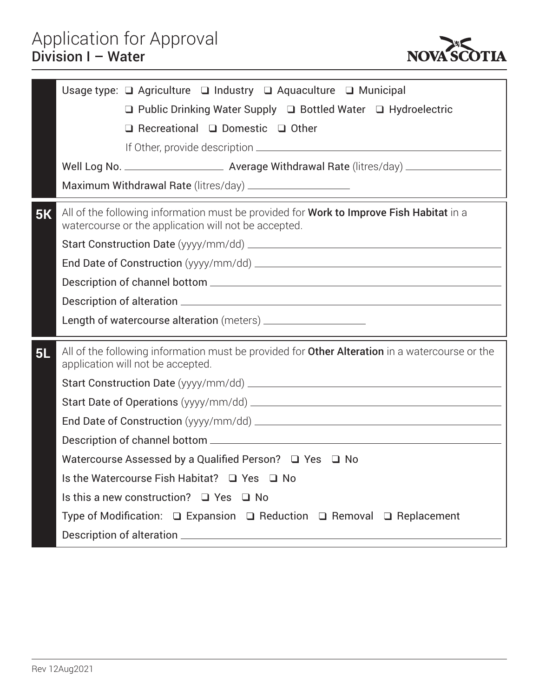

|    | Usage type: $\Box$ Agriculture $\Box$ Industry $\Box$ Aquaculture $\Box$ Municipal                                                              |
|----|-------------------------------------------------------------------------------------------------------------------------------------------------|
|    | $\Box$ Public Drinking Water Supply $\Box$ Bottled Water $\Box$ Hydroelectric                                                                   |
|    | $\Box$ Recreational $\Box$ Domestic $\Box$ Other                                                                                                |
|    |                                                                                                                                                 |
|    |                                                                                                                                                 |
|    |                                                                                                                                                 |
| 5K | All of the following information must be provided for Work to Improve Fish Habitat in a<br>watercourse or the application will not be accepted. |
|    |                                                                                                                                                 |
|    |                                                                                                                                                 |
|    |                                                                                                                                                 |
|    |                                                                                                                                                 |
|    |                                                                                                                                                 |
|    |                                                                                                                                                 |
| 5L | All of the following information must be provided for <b>Other Alteration</b> in a watercourse or the<br>application will not be accepted.      |
|    |                                                                                                                                                 |
|    |                                                                                                                                                 |
|    |                                                                                                                                                 |
|    |                                                                                                                                                 |
|    | Watercourse Assessed by a Qualified Person? $\Box$ Yes $\Box$ No                                                                                |
|    | Is the Watercourse Fish Habitat? □ Yes □ No                                                                                                     |
|    | Is this a new construction? $\Box$ Yes $\Box$ No                                                                                                |
|    | Type of Modification: $\Box$ Expansion $\Box$ Reduction $\Box$ Removal $\Box$ Replacement                                                       |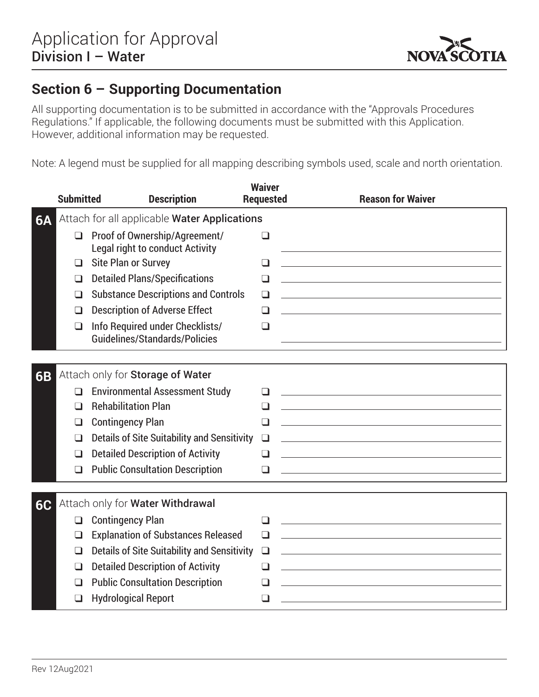

#### **Section 6 – Supporting Documentation**

All supporting documentation is to be submitted in accordance with the "Approvals Procedures Regulations." If applicable, the following documents must be submitted with this Application. However, additional information may be requested.

Note: A legend must be supplied for all mapping describing symbols used, scale and north orientation.

|    | <b>Submitted</b>                             | <b>Description</b>                                                      | <b>Waiver</b><br><b>Requested</b> | <b>Reason for Waiver</b>                                                                                                                                                                                                      |
|----|----------------------------------------------|-------------------------------------------------------------------------|-----------------------------------|-------------------------------------------------------------------------------------------------------------------------------------------------------------------------------------------------------------------------------|
| 6A | Attach for all applicable Water Applications |                                                                         |                                   |                                                                                                                                                                                                                               |
|    | $\Box$                                       | Proof of Ownership/Agreement/<br><b>Legal right to conduct Activity</b> | $\Box$                            |                                                                                                                                                                                                                               |
|    | ❏                                            | Site Plan or Survey                                                     | $\Box$                            |                                                                                                                                                                                                                               |
|    | $\Box$                                       | <b>Detailed Plans/Specifications</b>                                    | $\Box$                            |                                                                                                                                                                                                                               |
|    | ❏                                            | <b>Substance Descriptions and Controls</b>                              | $\Box$                            |                                                                                                                                                                                                                               |
|    | ❏                                            | <b>Description of Adverse Effect</b>                                    | ப                                 |                                                                                                                                                                                                                               |
|    | $\Box$                                       | Info Required under Checklists/<br>Guidelines/Standards/Policies        | $\Box$                            |                                                                                                                                                                                                                               |
|    |                                              |                                                                         |                                   |                                                                                                                                                                                                                               |
| 6B |                                              | Attach only for Storage of Water                                        |                                   |                                                                                                                                                                                                                               |
|    | ❏                                            | <b>Environmental Assessment Study</b>                                   | ப                                 | <u> 1989 - Johann Stein, marwolaethau a bhann an t-Amhair ann an t-Amhair an t-Amhair an t-Amhair an t-Amhair an</u>                                                                                                          |
|    | $\Box$                                       | <b>Rehabilitation Plan</b>                                              | □                                 |                                                                                                                                                                                                                               |
|    | $\Box$                                       | <b>Contingency Plan</b>                                                 | $\Box$                            |                                                                                                                                                                                                                               |
|    | ப                                            | Details of Site Suitability and Sensitivity                             | $\Box$                            |                                                                                                                                                                                                                               |
|    | $\Box$                                       | <b>Detailed Description of Activity</b>                                 | $\Box$                            |                                                                                                                                                                                                                               |
|    | $\Box$                                       | <b>Public Consultation Description</b>                                  | ப                                 |                                                                                                                                                                                                                               |
|    |                                              |                                                                         |                                   |                                                                                                                                                                                                                               |
| 6C |                                              | Attach only for Water Withdrawal                                        |                                   |                                                                                                                                                                                                                               |
|    | $\Box$                                       | <b>Contingency Plan</b>                                                 | $\Box$                            | the control of the control of the control of the control of the control of the control of the control of the control of the control of the control of the control of the control of the control of the control of the control |
|    | ப                                            | <b>Explanation of Substances Released</b>                               | $\Box$                            |                                                                                                                                                                                                                               |
|    | $\Box$                                       | <b>Details of Site Suitability and Sensitivity</b>                      | $\Box$                            |                                                                                                                                                                                                                               |
|    | ◻                                            | <b>Detailed Description of Activity</b>                                 | ❏                                 |                                                                                                                                                                                                                               |
|    | $\Box$                                       | <b>Public Consultation Description</b>                                  | $\Box$                            |                                                                                                                                                                                                                               |
|    | $\Box$                                       | <b>Hydrological Report</b>                                              | $\Box$                            |                                                                                                                                                                                                                               |